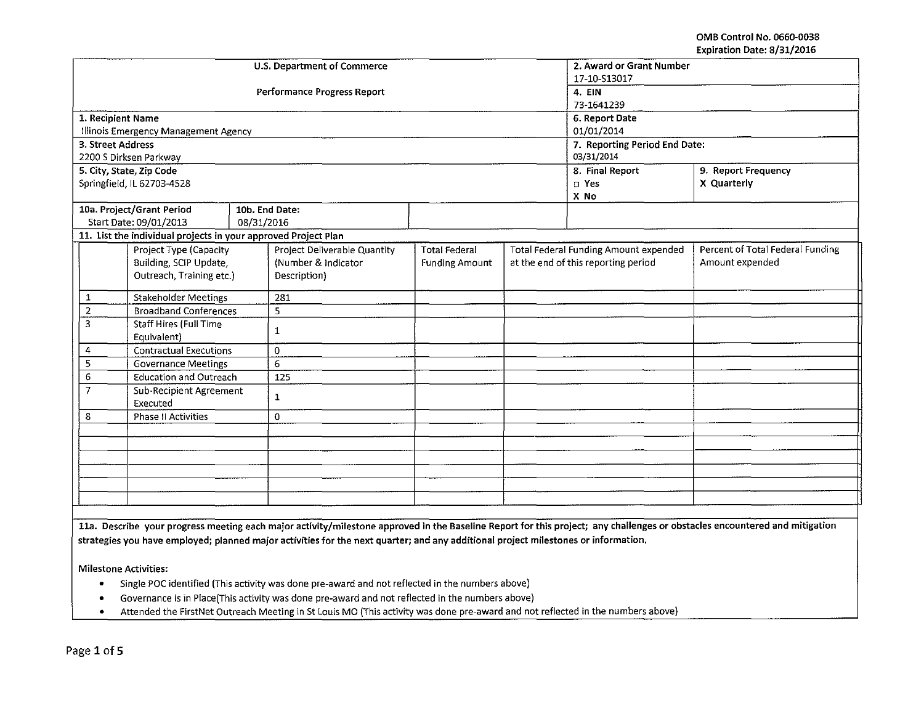OMB Control No. 0660-0038 Expiration Date: 8/31/2016

|                   |                                                                |            | U.S. Department of Commerce        |                               |                     | 2. Award or Grant Number              |                                  |  |
|-------------------|----------------------------------------------------------------|------------|------------------------------------|-------------------------------|---------------------|---------------------------------------|----------------------------------|--|
|                   |                                                                |            |                                    | 17-10-S13017                  |                     |                                       |                                  |  |
|                   |                                                                |            | <b>Performance Progress Report</b> | 4. EIN                        |                     |                                       |                                  |  |
|                   |                                                                |            |                                    | 73-1641239                    |                     |                                       |                                  |  |
| 1. Recipient Name |                                                                |            |                                    | 6. Report Date                |                     |                                       |                                  |  |
|                   | Illinois Emergency Management Agency                           |            |                                    | 01/01/2014                    |                     |                                       |                                  |  |
| 3. Street Address |                                                                |            |                                    | 7. Reporting Period End Date: |                     |                                       |                                  |  |
|                   | 2200 S Dirksen Parkway                                         |            |                                    | 03/31/2014                    |                     |                                       |                                  |  |
|                   | 5. City, State, Zip Code                                       |            |                                    | 8. Final Report               | 9. Report Frequency |                                       |                                  |  |
|                   | Springfield, IL 62703-4528                                     |            |                                    |                               |                     | □ Yes                                 | X Quarterly                      |  |
|                   |                                                                |            |                                    |                               |                     | X No                                  |                                  |  |
|                   | 10a. Project/Grant Period                                      |            | 10b. End Date:                     |                               |                     |                                       |                                  |  |
|                   | Start Date: 09/01/2013                                         | 08/31/2016 |                                    |                               |                     |                                       |                                  |  |
|                   | 11. List the individual projects in your approved Project Plan |            |                                    |                               |                     |                                       |                                  |  |
|                   | Project Type (Capacity                                         |            | Project Deliverable Quantity       | <b>Total Federal</b>          |                     | Total Federal Funding Amount expended | Percent of Total Federal Funding |  |
|                   | Building, SCIP Update,                                         |            | (Number & Indicator                | <b>Funding Amount</b>         |                     | at the end of this reporting period   | Amount expended                  |  |
|                   | Outreach, Training etc.)                                       |            | Description)                       |                               |                     |                                       |                                  |  |
| 1                 | <b>Stakeholder Meetings</b>                                    |            | 281                                |                               |                     |                                       |                                  |  |
| $\overline{2}$    | <b>Broadband Conferences</b>                                   |            | 5                                  |                               |                     |                                       |                                  |  |
| 3                 | Staff Hires (Full Time                                         |            | 1                                  |                               |                     |                                       |                                  |  |
|                   | Equivalent)                                                    |            |                                    |                               |                     |                                       |                                  |  |
| 4                 | <b>Contractual Executions</b>                                  |            | $\Omega$                           |                               |                     |                                       |                                  |  |
| 5                 | <b>Governance Meetings</b>                                     |            | 6                                  |                               |                     |                                       |                                  |  |
| 6                 | <b>Education and Outreach</b>                                  |            | 125                                |                               |                     |                                       |                                  |  |
| $\overline{7}$    | <b>Sub-Recipient Agreement</b><br>Executed                     |            | 1                                  |                               |                     |                                       |                                  |  |
| 8                 | <b>Phase II Activities</b>                                     |            | 0                                  |                               |                     |                                       |                                  |  |
|                   |                                                                |            |                                    |                               |                     |                                       |                                  |  |
|                   |                                                                |            |                                    |                               |                     |                                       |                                  |  |
|                   |                                                                |            |                                    |                               |                     |                                       |                                  |  |
|                   |                                                                |            |                                    |                               |                     |                                       |                                  |  |
|                   |                                                                |            |                                    |                               |                     |                                       |                                  |  |
|                   |                                                                |            |                                    |                               |                     |                                       |                                  |  |
|                   |                                                                |            |                                    |                               |                     |                                       |                                  |  |

11a. Describe your progress meeting each major activity/milestone approved in the Baseline Report for this project; any challenges or obstacles encountered and mitigation strategies you have employed; planned major activities for the next quarter; and any additional project milestones or information.

Milestone Activities:

- Single POC identified (This activity was done pre~award and not reflected in the numbers above)
- Governance is in Place(This activity was done pre-award and not reflected in the numbers above)
- Attended the FirstNet Outreach Meeting in StLouis MO (This activity was done pre~award and not reflected in the numbers above)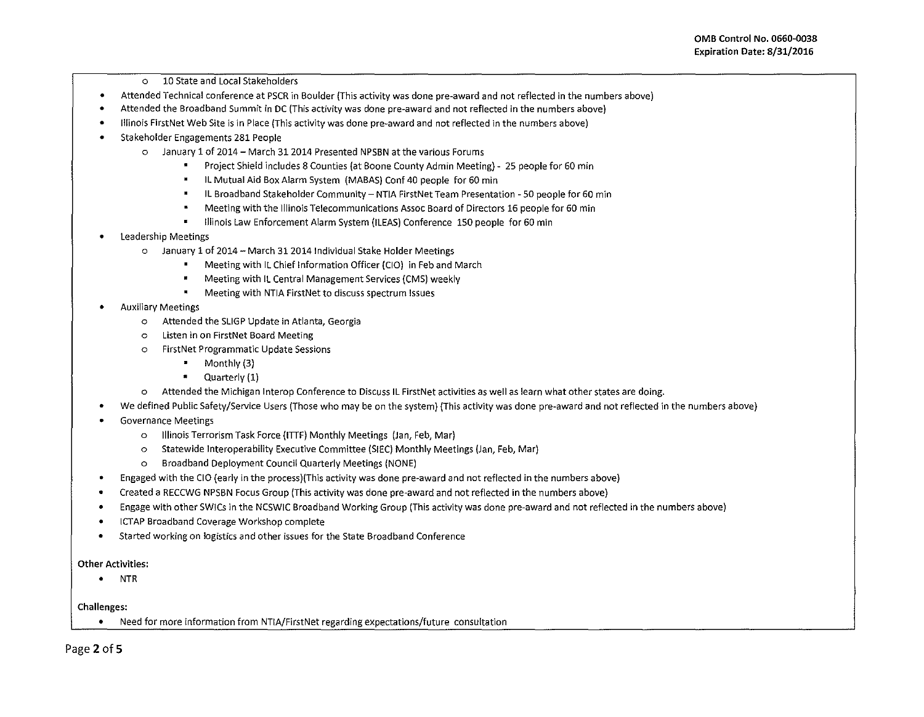- o 10 State and Local Stakeholders
- Attended Technical conference at PSCR in Boulder {This activity was done pre-award and not reflected in the numbers above)
- Attended the Broadband Summit in DC (This activity was done pre-award and not reflected in the numbers above)
- Illinois FirstNet Web Site is in Place {This activity was done pre-award and not reflected in the numbers above)
- Stakeholder Engagements 281 People
	- o January 1 of 2014- March 312014 Presented NPSBN at the various Forums
		- Project Shield includes 8 Counties {at Boone County Admin Meeting)- 25 people for 60 min
		- IL Mutual Aid Box Alarm System (MABAS) Conf 40 people for 60 min
		- IL Broadband Stakeholder Community NTIA FirstNet Team Presentation 50 people for 60 min
		- Meeting with the Illinois Telecommunications Assoc Board of Directors16 people for 60 min
		- Illinois Law Enforcement Alarm System (ILEAS) Conference 150 people for 60 min  $\blacksquare$
- Leadership Meetings
	- o January 1 of 2014- March 3120141ndividual Stake Holder Meetings
		- Meeting with IL Chief Information Officer {CIO) in Feb and March  $\blacksquare$
		- Meeting with IL Central Management Services {CMS) weekly
		- Meeting with NTIA FirstNet to discuss spectrum Issues
- Auxiliary Meetings
	- o Attended the SLIGP Update in Atlanta, Georgia
	- o Listen in on FirstNet Board Meeting
	- o FirstNet Programmatic Update Sessions
		- $\blacksquare$ Monthly (3)
		- Quarterly (1)
	- o Attended the Michigan lnterop Conference to DiscussiL FirstNet activities as well as learn what other states are doing.
- We defined Public Safety/Service Users (Those who may be on the system} (This activity was done pre~award and not reflected in the numbers above}
- Governance Meetings
	- o Illinois Terrorism Task Force (ITIF} Monthly Meetings (Jan, Feb, Mar)
	- o Statewide lnteroperability Executive Committee (SIEC) Monthly Meetings (Jan, Feb, Mar)
	- o Broadband Deployment Council Quarterly Meetings (NONE)
- Engaged with the CIO {early in the process)(This activity was done pre-award and not reflected in the numbers above)
- Created a RECCWG NPSBN Focus Group (This activity was done pre-award and not reflected in the numbers above)
- Engage with other SWICs in the NCSWIC Broadband Working Group (This activity was done pre-award and not reflected in the numbers above)
- ICTAP Broadband Coverage Workshop complete
- Started working on logistics and other issues for the State Broadband Conference

## Other Activities:

• NTR

## Challenges:

• Need for more information from NTIA/FirstNet regarding expectations/future consultation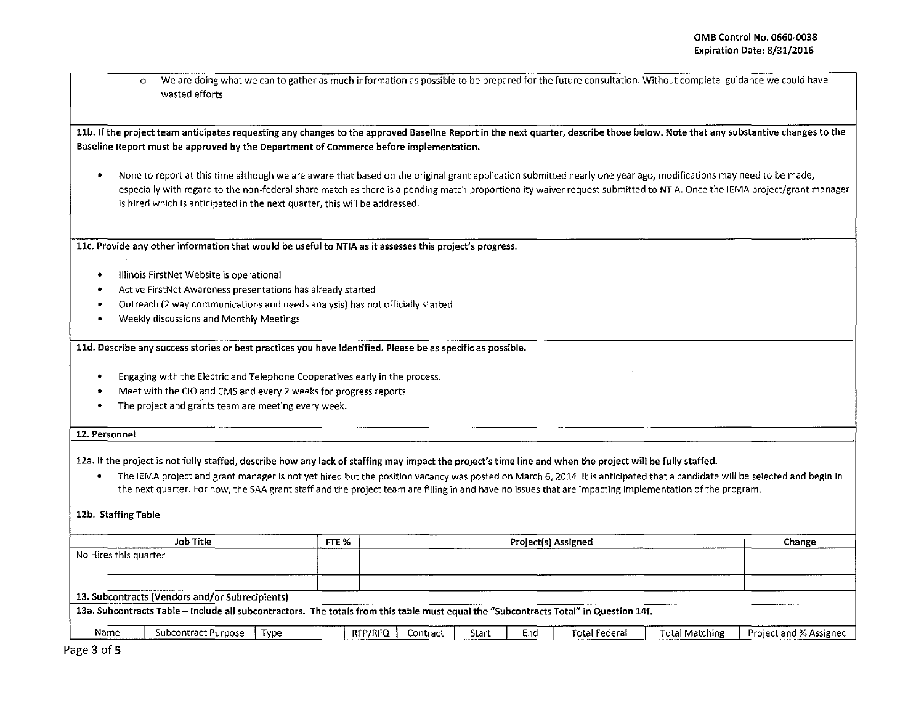0 We are doing what we can to gather as much information as possible to be prepared for the future consultation. Without complete guidance we could have wasted efforts

11b. If the project team anticipates requesting any changes to the approved Baseline Report in the next quarter, describe those below. Note that any substantive changes to the Baseline Report must be approved by the Department of Commerce before implementation.

0 None to report at this time although we are aware that based on the original grant application submitted nearly one year ago, modifications may need to be made, especially with regard to the non-federal share match as there is a pending match proportionality waiver request submitted to NTIA. Once the IEMA project/grant manager is hired which is anticipated in the next quarter, this will be addressed.

llc. Provide any other information that would be useful to NTIA as it assesses this project's progress.

- **•** Illinois FirstNet Website is operational
- <sup>0</sup>Active FirstNet Awareness presentations has already started
- <sup>0</sup>Outreach (2 way communications and needs analysis) has not officially started
- <sup>0</sup>Weekly discussions and Monthly Meetings

lld. Describe any success stories or best practices you have identified. Please be as specific as possible.

- <sup>0</sup>Engaging with the Electric and Telephone Cooperatives early in the process.
- <sup>0</sup>Meet with the CIO and CMS and every 2 weeks for progress reports
- The project and grants team are meeting every week.

## 12. Personnel

12a. If the project is not fully staffed, describe how any lack of staffing may impact the project's time line and when the project will be fully staffed.

<sup>0</sup>The lEMA project and grant manager is not yet hired but the position vacancy was posted on March 6, 2014. It is anticipated that a candidate will be selected and begin in the next quarter. For now, the SAA grant staff and the project team are filling in and have no issues that are impacting implementation of the program.

12b. Staffing Table

|                       | Job Title                                                                                                                             | FTE % |                     | Project(s) Assigned |     |                      |                       |                        |  |
|-----------------------|---------------------------------------------------------------------------------------------------------------------------------------|-------|---------------------|---------------------|-----|----------------------|-----------------------|------------------------|--|
| No Hires this quarter |                                                                                                                                       |       |                     |                     |     |                      |                       |                        |  |
|                       |                                                                                                                                       |       |                     |                     |     |                      |                       |                        |  |
|                       |                                                                                                                                       |       |                     |                     |     |                      |                       |                        |  |
|                       | 13. Subcontracts (Vendors and/or Subrecipients)                                                                                       |       |                     |                     |     |                      |                       |                        |  |
|                       | 13a. Subcontracts Table - Include all subcontractors. The totals from this table must equal the "Subcontracts Total" in Question 14f. |       |                     |                     |     |                      |                       |                        |  |
|                       |                                                                                                                                       |       |                     |                     |     |                      |                       |                        |  |
| Name                  | Subcontract Purpose<br>Type                                                                                                           |       | RFP/RFQ<br>Contract | Start               | End | <b>Total Federal</b> | <b>Total Matching</b> | Project and % Assigned |  |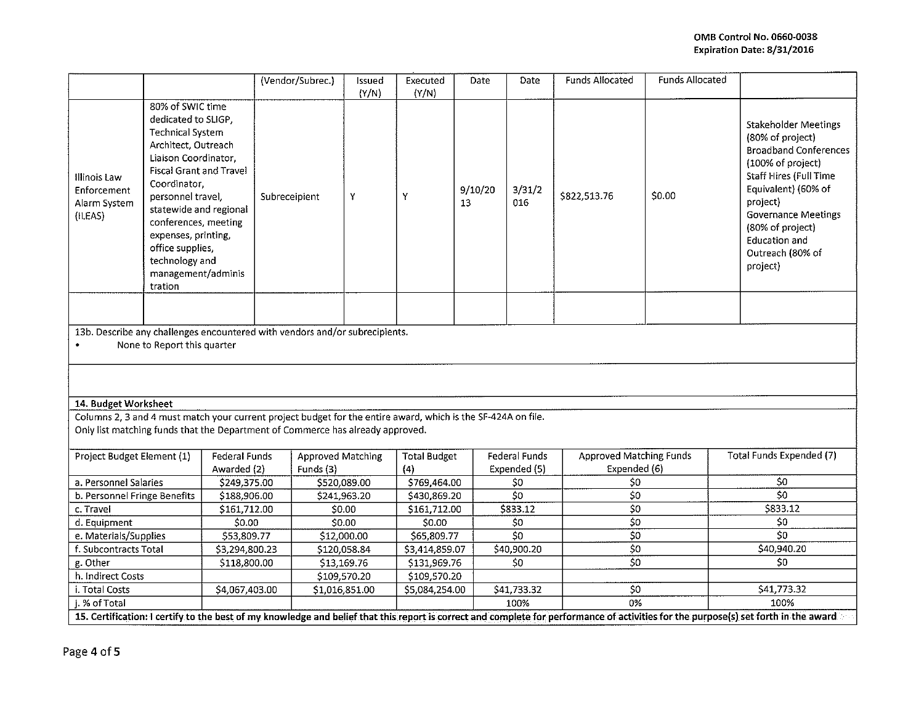|                                                                                                                         |                                                                                                                                                                                                                                                                                                                                          |                |               | (Vendor/Subrec.) | Issued<br>(Y/N)                | Executed<br>(Y/N) | Date                | Date                          | Funds Allocated                                | Funds Allocated |                                                                                                                                                                                                                                                                             |  |
|-------------------------------------------------------------------------------------------------------------------------|------------------------------------------------------------------------------------------------------------------------------------------------------------------------------------------------------------------------------------------------------------------------------------------------------------------------------------------|----------------|---------------|------------------|--------------------------------|-------------------|---------------------|-------------------------------|------------------------------------------------|-----------------|-----------------------------------------------------------------------------------------------------------------------------------------------------------------------------------------------------------------------------------------------------------------------------|--|
| Illinois Law<br>Enforcement<br>Alarm System<br>(ILEAS)                                                                  | 80% of SWIC time<br>dedicated to SLIGP,<br><b>Technical System</b><br>Architect, Outreach<br>Liaison Coordinator,<br><b>Fiscal Grant and Travel</b><br>Coordinator.<br>personnel travel,<br>statewide and regional<br>conferences, meeting<br>expenses, printing,<br>office supplies,<br>technology and<br>management/adminis<br>tration |                | Subreceipient |                  | Y                              | Y                 | 9/10/20<br>13       | 3/31/2<br>016                 | \$822,513.76                                   | \$0.00          | <b>Stakeholder Meetings</b><br>(80% of project)<br><b>Broadband Conferences</b><br>(100% of project)<br>Staff Hires (Full Time<br>Equivalent) (60% of<br>project)<br><b>Governance Meetings</b><br>(80% of project)<br><b>Education and</b><br>Outreach (80% of<br>project) |  |
|                                                                                                                         |                                                                                                                                                                                                                                                                                                                                          |                |               |                  |                                |                   |                     |                               |                                                |                 |                                                                                                                                                                                                                                                                             |  |
| 13b. Describe any challenges encountered with vendors and/or subrecipients.<br>None to Report this quarter<br>$\bullet$ |                                                                                                                                                                                                                                                                                                                                          |                |               |                  |                                |                   |                     |                               |                                                |                 |                                                                                                                                                                                                                                                                             |  |
|                                                                                                                         |                                                                                                                                                                                                                                                                                                                                          |                |               |                  |                                |                   |                     |                               |                                                |                 |                                                                                                                                                                                                                                                                             |  |
| 14. Budget Worksheet                                                                                                    |                                                                                                                                                                                                                                                                                                                                          |                |               |                  |                                |                   |                     |                               |                                                |                 |                                                                                                                                                                                                                                                                             |  |
| Columns 2, 3 and 4 must match your current project budget for the entire award, which is the SF-424A on file.           |                                                                                                                                                                                                                                                                                                                                          |                |               |                  |                                |                   |                     |                               |                                                |                 |                                                                                                                                                                                                                                                                             |  |
| Only list matching funds that the Department of Commerce has already approved.                                          |                                                                                                                                                                                                                                                                                                                                          |                |               |                  |                                |                   |                     |                               |                                                |                 |                                                                                                                                                                                                                                                                             |  |
| Project Budget Element (1)                                                                                              |                                                                                                                                                                                                                                                                                                                                          | Awarded (2)    | Federal Funds |                  | Approved Matching<br>Funds (3) |                   | <b>Total Budget</b> | Federal Funds<br>Expended (5) | <b>Approved Matching Funds</b><br>Expended (6) |                 | Total Funds Expended (7)                                                                                                                                                                                                                                                    |  |
| a. Personnel Salaries<br>\$249,375.00                                                                                   |                                                                                                                                                                                                                                                                                                                                          |                | \$520,089.00  |                  | (4)<br>\$769,464.00            |                   | \$0                 | \$0                           |                                                | \$0             |                                                                                                                                                                                                                                                                             |  |
| b. Personnel Fringe Benefits                                                                                            |                                                                                                                                                                                                                                                                                                                                          | \$188,906.00   |               | \$241,963.20     |                                | \$430,869.20      |                     | \$0                           | \$0                                            |                 | 50                                                                                                                                                                                                                                                                          |  |
| c. Travel                                                                                                               |                                                                                                                                                                                                                                                                                                                                          | \$161,712.00   |               | \$0.00           |                                | \$161,712.00      |                     | \$833.12                      | $\overline{50}$                                |                 | \$833.12                                                                                                                                                                                                                                                                    |  |
| d. Equipment                                                                                                            |                                                                                                                                                                                                                                                                                                                                          | \$0.00         |               | \$0.00           |                                | S0.00             |                     | \$0                           | \$0                                            |                 | \$0                                                                                                                                                                                                                                                                         |  |
| e. Materials/Supplies                                                                                                   |                                                                                                                                                                                                                                                                                                                                          | \$53,809.77    |               | \$12,000.00      |                                | \$65,809.77       |                     | $\overline{\text{SO}}$        | $\overline{50}$                                |                 | $\overline{\mathsf{S}}$                                                                                                                                                                                                                                                     |  |
| f. Subcontracts Total                                                                                                   |                                                                                                                                                                                                                                                                                                                                          | \$3,294,800.23 |               | \$120,058.84     |                                | \$3,414,859.07    |                     | \$40,900.20                   | $\overline{\xi}$                               |                 | \$40,940.20                                                                                                                                                                                                                                                                 |  |
| g. Other                                                                                                                |                                                                                                                                                                                                                                                                                                                                          | 5118,800.00    |               | \$13,169.76      |                                | \$131,969.76      |                     | \$0                           | $\overline{50}$                                |                 | \$0                                                                                                                                                                                                                                                                         |  |
| h. Indirect Costs                                                                                                       |                                                                                                                                                                                                                                                                                                                                          |                |               | \$109,570.20     |                                | \$109,570.20      |                     |                               |                                                |                 |                                                                                                                                                                                                                                                                             |  |
| i. Total Costs                                                                                                          |                                                                                                                                                                                                                                                                                                                                          | \$4,067,403.00 |               | \$1,016,851.00   |                                | \$5,084,254.00    |                     | \$41,733.32                   | 50                                             |                 | \$41,773.32                                                                                                                                                                                                                                                                 |  |
| j. % of Total                                                                                                           |                                                                                                                                                                                                                                                                                                                                          |                |               |                  |                                |                   |                     | 100%                          | $\frac{1}{0\%}$                                |                 | 100%                                                                                                                                                                                                                                                                        |  |
|                                                                                                                         |                                                                                                                                                                                                                                                                                                                                          |                |               |                  |                                |                   |                     |                               |                                                |                 | 15. Certification: I certify to the best of my knowledge and belief that this report is correct and complete for performance of activities for the purpose(s) set forth in the award                                                                                        |  |